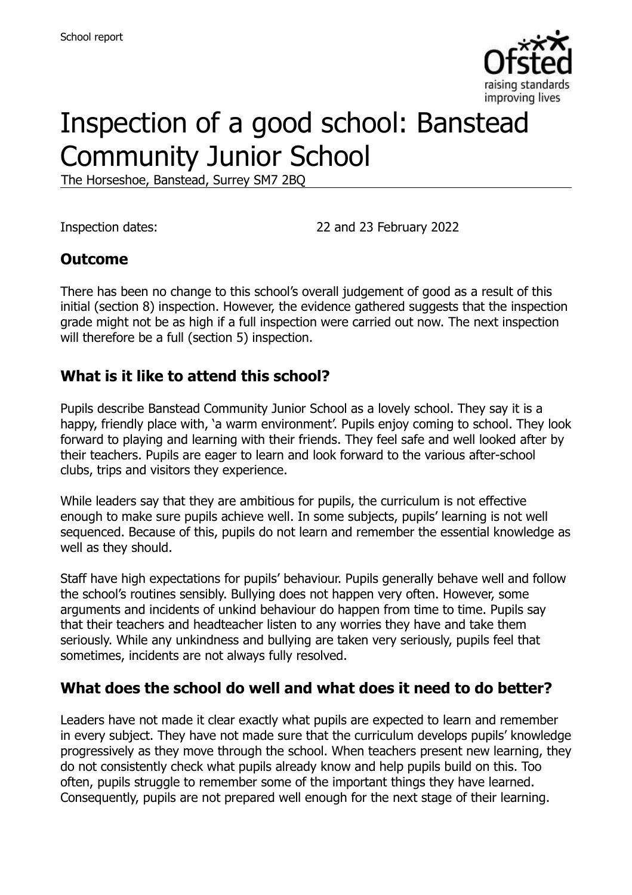

# Inspection of a good school: Banstead Community Junior School

The Horseshoe, Banstead, Surrey SM7 2BQ

Inspection dates: 22 and 23 February 2022

#### **Outcome**

There has been no change to this school's overall judgement of good as a result of this initial (section 8) inspection. However, the evidence gathered suggests that the inspection grade might not be as high if a full inspection were carried out now. The next inspection will therefore be a full (section 5) inspection.

#### **What is it like to attend this school?**

Pupils describe Banstead Community Junior School as a lovely school. They say it is a happy, friendly place with, 'a warm environment'. Pupils enjoy coming to school. They look forward to playing and learning with their friends. They feel safe and well looked after by their teachers. Pupils are eager to learn and look forward to the various after-school clubs, trips and visitors they experience.

While leaders say that they are ambitious for pupils, the curriculum is not effective enough to make sure pupils achieve well. In some subjects, pupils' learning is not well sequenced. Because of this, pupils do not learn and remember the essential knowledge as well as they should.

Staff have high expectations for pupils' behaviour. Pupils generally behave well and follow the school's routines sensibly. Bullying does not happen very often. However, some arguments and incidents of unkind behaviour do happen from time to time. Pupils say that their teachers and headteacher listen to any worries they have and take them seriously. While any unkindness and bullying are taken very seriously, pupils feel that sometimes, incidents are not always fully resolved.

#### **What does the school do well and what does it need to do better?**

Leaders have not made it clear exactly what pupils are expected to learn and remember in every subject. They have not made sure that the curriculum develops pupils' knowledge progressively as they move through the school. When teachers present new learning, they do not consistently check what pupils already know and help pupils build on this. Too often, pupils struggle to remember some of the important things they have learned. Consequently, pupils are not prepared well enough for the next stage of their learning.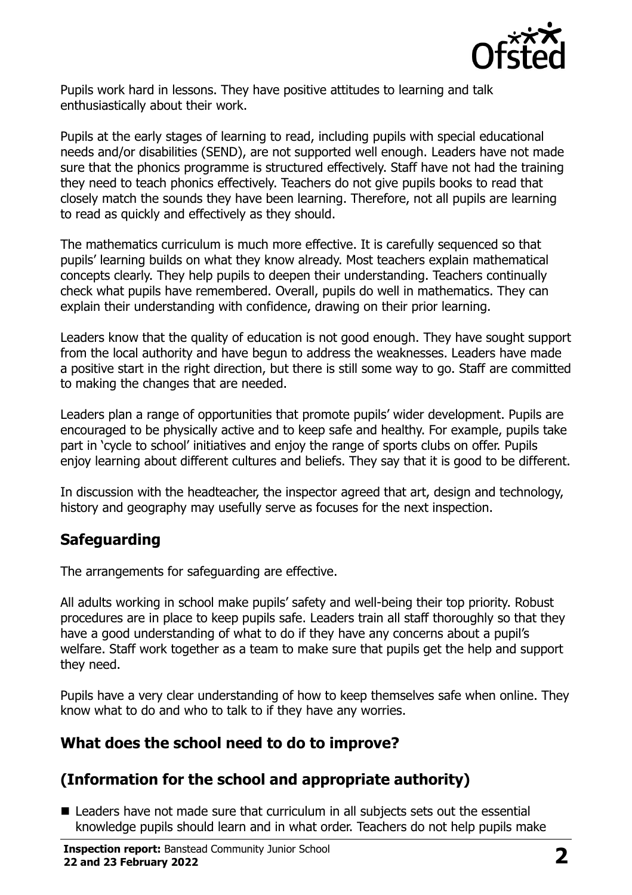

Pupils work hard in lessons. They have positive attitudes to learning and talk enthusiastically about their work.

Pupils at the early stages of learning to read, including pupils with special educational needs and/or disabilities (SEND), are not supported well enough. Leaders have not made sure that the phonics programme is structured effectively. Staff have not had the training they need to teach phonics effectively. Teachers do not give pupils books to read that closely match the sounds they have been learning. Therefore, not all pupils are learning to read as quickly and effectively as they should.

The mathematics curriculum is much more effective. It is carefully sequenced so that pupils' learning builds on what they know already. Most teachers explain mathematical concepts clearly. They help pupils to deepen their understanding. Teachers continually check what pupils have remembered. Overall, pupils do well in mathematics. They can explain their understanding with confidence, drawing on their prior learning.

Leaders know that the quality of education is not good enough. They have sought support from the local authority and have begun to address the weaknesses. Leaders have made a positive start in the right direction, but there is still some way to go. Staff are committed to making the changes that are needed.

Leaders plan a range of opportunities that promote pupils' wider development. Pupils are encouraged to be physically active and to keep safe and healthy. For example, pupils take part in 'cycle to school' initiatives and enjoy the range of sports clubs on offer. Pupils enjoy learning about different cultures and beliefs. They say that it is good to be different.

In discussion with the headteacher, the inspector agreed that art, design and technology, history and geography may usefully serve as focuses for the next inspection.

# **Safeguarding**

The arrangements for safeguarding are effective.

All adults working in school make pupils' safety and well-being their top priority. Robust procedures are in place to keep pupils safe. Leaders train all staff thoroughly so that they have a good understanding of what to do if they have any concerns about a pupil's welfare. Staff work together as a team to make sure that pupils get the help and support they need.

Pupils have a very clear understanding of how to keep themselves safe when online. They know what to do and who to talk to if they have any worries.

# **What does the school need to do to improve?**

# **(Information for the school and appropriate authority)**

**E** Leaders have not made sure that curriculum in all subjects sets out the essential knowledge pupils should learn and in what order. Teachers do not help pupils make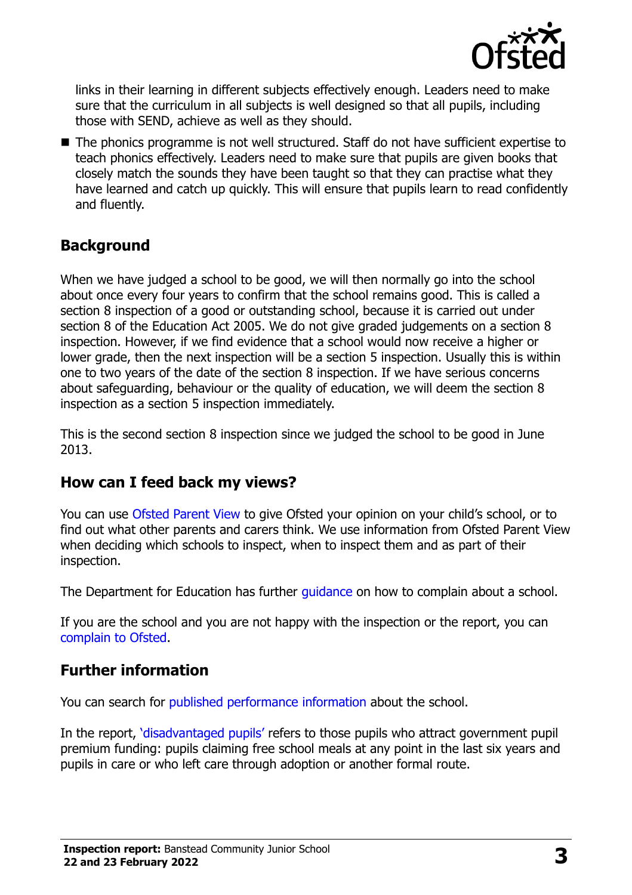

links in their learning in different subjects effectively enough. Leaders need to make sure that the curriculum in all subjects is well designed so that all pupils, including those with SEND, achieve as well as they should.

■ The phonics programme is not well structured. Staff do not have sufficient expertise to teach phonics effectively. Leaders need to make sure that pupils are given books that closely match the sounds they have been taught so that they can practise what they have learned and catch up quickly. This will ensure that pupils learn to read confidently and fluently.

### **Background**

When we have judged a school to be good, we will then normally go into the school about once every four years to confirm that the school remains good. This is called a section 8 inspection of a good or outstanding school, because it is carried out under section 8 of the Education Act 2005. We do not give graded judgements on a section 8 inspection. However, if we find evidence that a school would now receive a higher or lower grade, then the next inspection will be a section 5 inspection. Usually this is within one to two years of the date of the section 8 inspection. If we have serious concerns about safeguarding, behaviour or the quality of education, we will deem the section 8 inspection as a section 5 inspection immediately.

This is the second section 8 inspection since we judged the school to be good in June 2013.

#### **How can I feed back my views?**

You can use [Ofsted Parent View](https://parentview.ofsted.gov.uk/) to give Ofsted your opinion on your child's school, or to find out what other parents and carers think. We use information from Ofsted Parent View when deciding which schools to inspect, when to inspect them and as part of their inspection.

The Department for Education has further quidance on how to complain about a school.

If you are the school and you are not happy with the inspection or the report, you can [complain to Ofsted.](https://www.gov.uk/complain-ofsted-report)

#### **Further information**

You can search for [published performance](http://www.compare-school-performance.service.gov.uk/) information about the school.

In the report, '[disadvantaged pupils](http://www.gov.uk/guidance/pupil-premium-information-for-schools-and-alternative-provision-settings)' refers to those pupils who attract government pupil premium funding: pupils claiming free school meals at any point in the last six years and pupils in care or who left care through adoption or another formal route.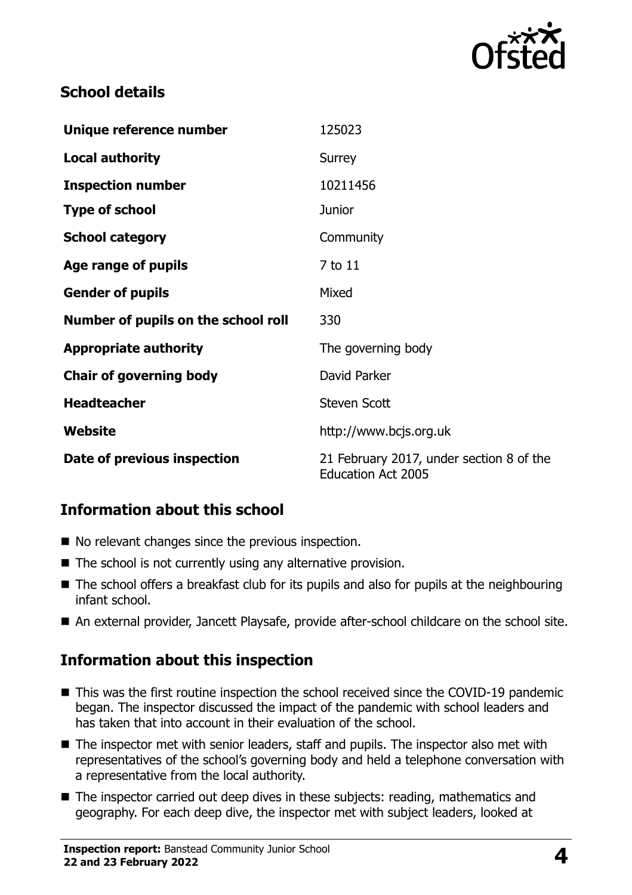

### **School details**

| Unique reference number             | 125023                                                                |
|-------------------------------------|-----------------------------------------------------------------------|
| <b>Local authority</b>              | Surrey                                                                |
| <b>Inspection number</b>            | 10211456                                                              |
| <b>Type of school</b>               | <b>Junior</b>                                                         |
| <b>School category</b>              | Community                                                             |
| Age range of pupils                 | 7 to 11                                                               |
| <b>Gender of pupils</b>             | Mixed                                                                 |
| Number of pupils on the school roll | 330                                                                   |
| <b>Appropriate authority</b>        | The governing body                                                    |
| <b>Chair of governing body</b>      | David Parker                                                          |
| <b>Headteacher</b>                  | <b>Steven Scott</b>                                                   |
| Website                             | http://www.bcjs.org.uk                                                |
| Date of previous inspection         | 21 February 2017, under section 8 of the<br><b>Education Act 2005</b> |

# **Information about this school**

- No relevant changes since the previous inspection.
- $\blacksquare$  The school is not currently using any alternative provision.
- The school offers a breakfast club for its pupils and also for pupils at the neighbouring infant school.
- An external provider, Jancett Playsafe, provide after-school childcare on the school site.

# **Information about this inspection**

- This was the first routine inspection the school received since the COVID-19 pandemic began. The inspector discussed the impact of the pandemic with school leaders and has taken that into account in their evaluation of the school.
- The inspector met with senior leaders, staff and pupils. The inspector also met with representatives of the school's governing body and held a telephone conversation with a representative from the local authority.
- The inspector carried out deep dives in these subjects: reading, mathematics and geography. For each deep dive, the inspector met with subject leaders, looked at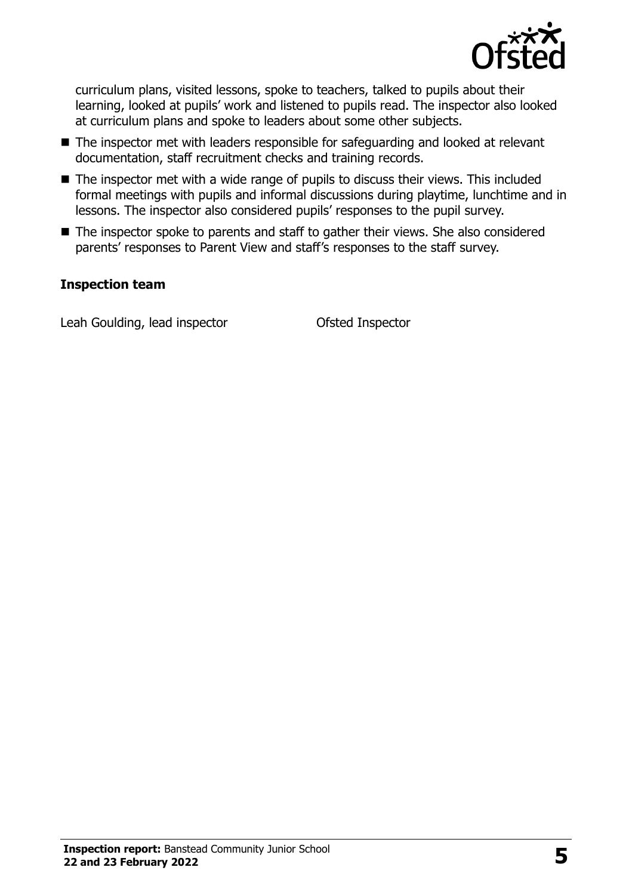

curriculum plans, visited lessons, spoke to teachers, talked to pupils about their learning, looked at pupils' work and listened to pupils read. The inspector also looked at curriculum plans and spoke to leaders about some other subjects.

- The inspector met with leaders responsible for safequarding and looked at relevant documentation, staff recruitment checks and training records.
- The inspector met with a wide range of pupils to discuss their views. This included formal meetings with pupils and informal discussions during playtime, lunchtime and in lessons. The inspector also considered pupils' responses to the pupil survey.
- The inspector spoke to parents and staff to gather their views. She also considered parents' responses to Parent View and staff's responses to the staff survey.

#### **Inspection team**

Leah Goulding, lead inspector Ofsted Inspector